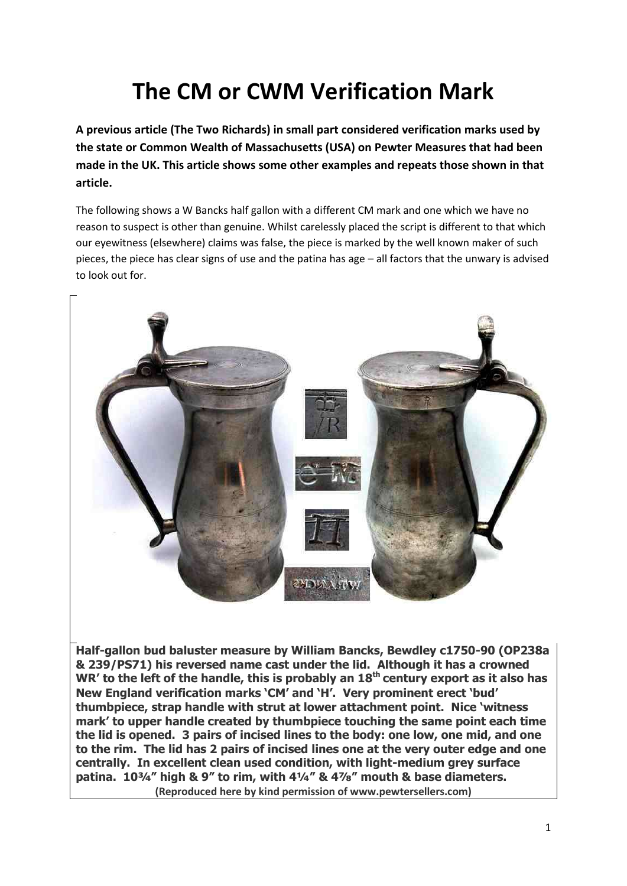## **The CM or CWM Verification Mark**

**A previous article (The Two Richards) in small part considered verification marks used by the state or Common Wealth of Massachusetts (USA) on Pewter Measures that had been made in the UK. This article shows some other examples and repeats those shown in that article.**

The following shows a W Bancks half gallon with a different CM mark and one which we have no reason to suspect is other than genuine. Whilst carelessly placed the script is different to that which our eyewitness (elsewhere) claims was false, the piece is marked by the well known maker of such pieces, the piece has clear signs of use and the patina has age – all factors that the unwary is advised to look out for.



**Half-gallon bud baluster measure by William Bancks, Bewdley c1750-90 (OP238a & 239/PS71) his reversed name cast under the lid. Although it has a crowned WR' to the left of the handle, this is probably an 18th century export as it also has New England verification marks 'CM' and 'H'. Very prominent erect 'bud' thumbpiece, strap handle with strut at lower attachment point. Nice 'witness mark' to upper handle created by thumbpiece touching the same point each time the lid is opened. 3 pairs of incised lines to the body: one low, one mid, and one to the rim. The lid has 2 pairs of incised lines one at the very outer edge and one centrally. In excellent clean used condition, with light-medium grey surface patina. 10¾" high & 9" to rim, with 4¼" & 4⅞" mouth & base diameters. (Reproduced here by kind permission of www.pewtersellers.com)**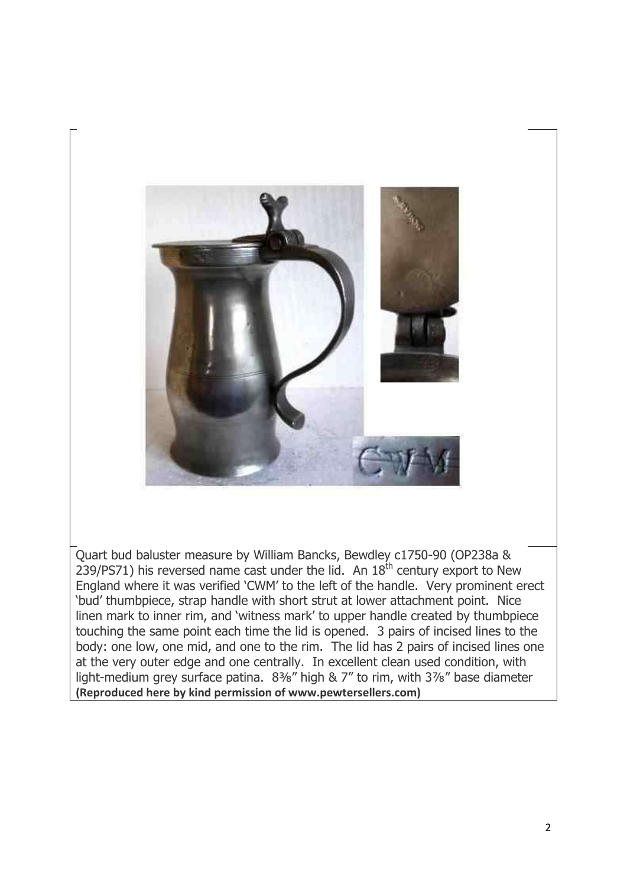

Quart bud baluster measure by William Bancks, Bewdley c1750-90 (OP238a & 239/PS71) his reversed name cast under the lid. An  $18<sup>th</sup>$  century export to New England where it was verified 'CWM' to the left of the handle. Very prominent erect 'bud' thumbpiece, strap handle with short strut at lower attachment point. Nice linen mark to inner rim, and 'witness mark' to upper handle created by thumbpiece touching the same point each time the lid is opened. 3 pairs of incised lines to the body: one low, one mid, and one to the rim. The lid has 2 pairs of incised lines one at the very outer edge and one centrally. In excellent clean used condition, with light-medium grey surface patina. 8<sup>3</sup>%" high & 7" to rim, with 3<sup>7</sup>%" base diameter **(Reproduced here by kind permission of www.pewtersellers.com)**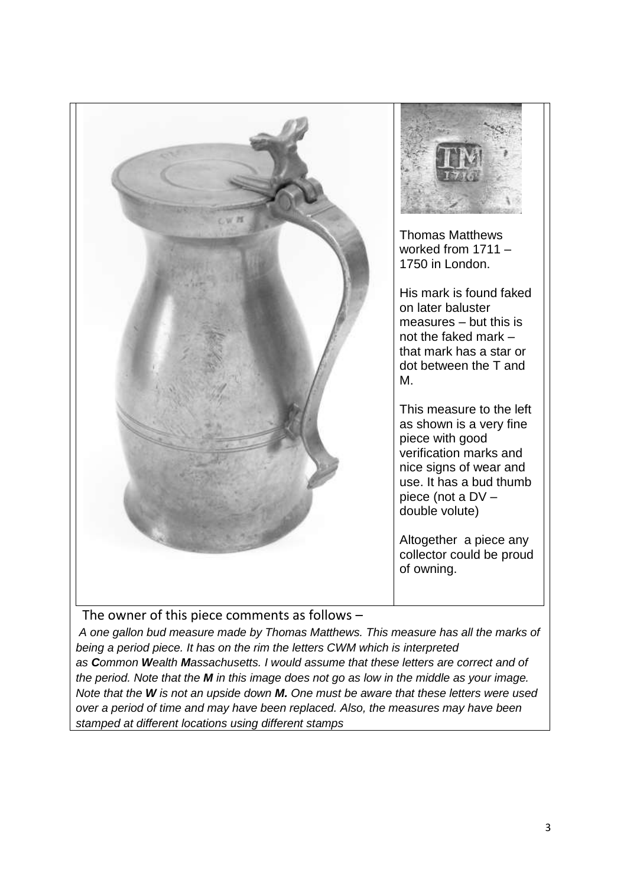

The owner of this piece comments as follows –

*A one gallon bud measure made by Thomas Matthews. This measure has all the marks of being a period piece. It has on the rim the letters CWM which is interpreted as Common Wealth Massachusetts. I would assume that these letters are correct and of the period. Note that the M in this image does not go as low in the middle as your image. Note that the W is not an upside down M. One must be aware that these letters were used over a period of time and may have been replaced. Also, the measures may have been stamped at different locations using different stamps*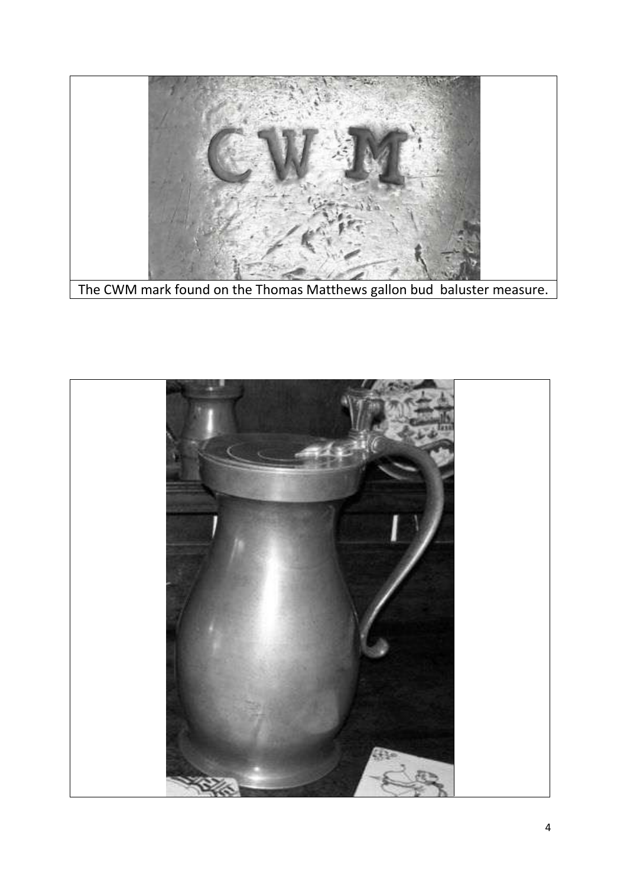

The CWM mark found on the Thomas Matthews gallon bud baluster measure.